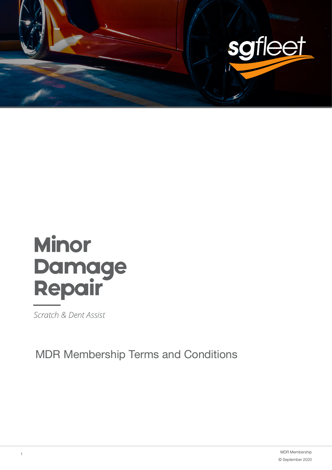

# **Minor Damage<br>Repair**

Scratch & Dent Assist

MDR Membership Terms and Conditions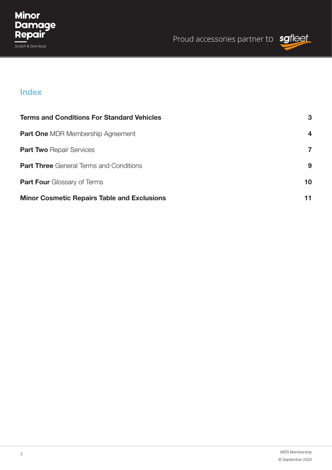

## **Index**

| <b>Terms and Conditions For Standard Vehicles</b>  | 3            |
|----------------------------------------------------|--------------|
| <b>Part One MDR Membership Agreement</b>           | 4            |
| <b>Part Two Repair Services</b>                    | $\mathbf{7}$ |
| <b>Part Three</b> General Terms and Conditions     | 9            |
| <b>Part Four Glossary of Terms</b>                 | 10           |
| <b>Minor Cosmetic Repairs Table and Exclusions</b> |              |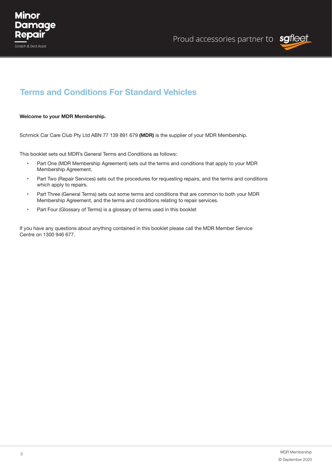



#### **Welcome to your MDR Membership.**

Schmick Car Care Club Pty Ltd ABN 77 139 891 679 **(MDR)** is the supplier of your MDR Membership.

This booklet sets out MDR's General Terms and Conditions as follows:

- Part One (MDR Membership Agreement) sets out the terms and conditions that apply to your MDR Membership Agreement.
- Part Two (Repair Services) sets out the procedures for requesting repairs, and the terms and conditions which apply to repairs.
- • Part Three (General Terms) sets out some terms and conditions that are common to both your MDR Membership Agreement, and the terms and conditions relating to repair services.
- Part Four (Glossary of Terms) is a glossary of terms used in this booklet

If you have any questions about anything contained in this booklet please call the MDR Member Service Centre on 1300 946 677.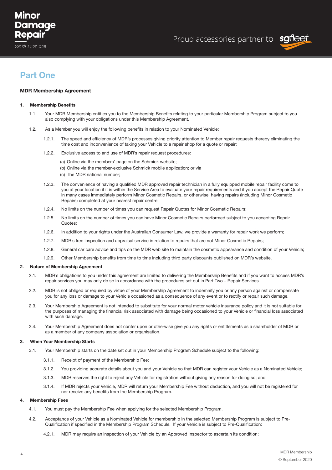## Minor Damaae Repair

Scratch & Dent Assist

Proud accessories partner to sgfleet



## **Part One**

#### **MDR Membership Agreement**

#### **1. Membership Benefits**

- 1.1. Your MDR Membership entitles you to the Membership Benefits relating to your particular Membership Program subject to you also complying with your obligations under this Membership Agreement.
- 1.2. As a Member you will enjoy the following benefits in relation to your Nominated Vehicle:
	- 1.2.1. The speed and efficiency of MDR's processes giving priority attention to Member repair requests thereby eliminating the time cost and inconvenience of taking your Vehicle to a repair shop for a quote or repair;
	- 1.2.2. Exclusive access to and use of MDR's repair request procedures:
		- (a) Online via the members' page on the Schmick website;
		- (b) Online via the member-exclusive Schmick mobile application; or via
		- (c) The MDR national number;
	- 1.2.3. The convenience of having a qualified MDR approved repair technician in a fully equipped mobile repair facility come to you at your location if it is within the Service Area to evaluate your repair requirements and if you accept the Repair Quote in many cases immediately perform Minor Cosmetic Repairs, or otherwise, having repairs (including Minor Cosmetic Repairs) completed at your nearest repair centre;
	- 1.2.4. No limits on the number of times you can request Repair Quotes for Minor Cosmetic Repairs;
	- 1.2.5. No limits on the number of times you can have Minor Cosmetic Repairs performed subject to you accepting Repair Quotes;
	- 1.2.6. In addition to your rights under the Australian Consumer Law, we provide a warranty for repair work we perform;
	- 1.2.7. MDR's free inspection and appraisal service in relation to repairs that are not Minor Cosmetic Repairs;
	- 1.2.8. General car care advice and tips on the MDR web site to maintain the cosmetic appearance and condition of your Vehicle;
	- 1.2.9. Other Membership benefits from time to time including third party discounts published on MDR's website.

#### **2. Nature of Membership Agreement**

- 2.1. MDR's obligations to you under this agreement are limited to delivering the Membership Benefits and if you want to access MDR's repair services you may only do so in accordance with the procedures set out in Part Two – Repair Services.
- 2.2. MDR is not obliged or required by virtue of your Membership Agreement to indemnify you or any person against or compensate you for any loss or damage to your Vehicle occasioned as a consequence of any event or to rectify or repair such damage.
- 2.3. Your Membership Agreement is not intended to substitute for your normal motor vehicle insurance policy and it is not suitable for the purposes of managing the financial risk associated with damage being occasioned to your Vehicle or financial loss associated with such damage.
- 2.4. Your Membership Agreement does not confer upon or otherwise give you any rights or entitlements as a shareholder of MDR or as a member of any company association or organisation.

#### **3. When Your Membership Starts**

- 3.1. Your Membership starts on the date set out in your Membership Program Schedule subject to the following:
	- 3.1.1. Receipt of payment of the Membership Fee;
	- 3.1.2. You providing accurate details about you and your Vehicle so that MDR can register your Vehicle as a Nominated Vehicle;
	- 3.1.3. MDR reserves the right to reject any Vehicle for registration without giving any reason for doing so; and
	- 3.1.4. If MDR rejects your Vehicle, MDR will return your Membership Fee without deduction, and you will not be registered for nor receive any benefits from the Membership Program.

#### **4. Membership Fees**

- 4.1. You must pay the Membership Fee when applying for the selected Membership Program.
- 4.2. Acceptance of your Vehicle as a Nominated Vehicle for membership in the selected Membership Program is subject to Pre- Qualification if specified in the Membership Program Schedule. If your Vehicle is subject to Pre-Qualification:
	- 4.2.1. MDR may require an inspection of your Vehicle by an Approved Inspector to ascertain its condition;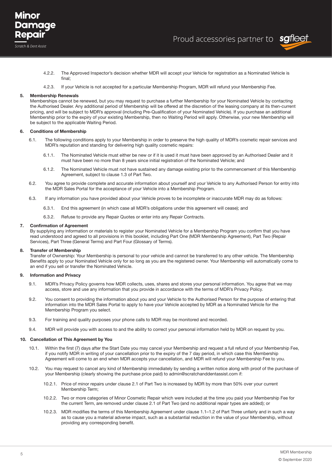

- 4.2.2. The Approved Inspector's decision whether MDR will accept your Vehicle for registration as a Nominated Vehicle is final;
- 4.2.3. If your Vehicle is not accepted for a particular Membership Program, MDR will refund your Membership Fee.

#### **5. Membership Renewals**

Memberships cannot be renewed, but you may request to purchase a further Membership for your Nominated Vehicle by contacting the Authorised Dealer. Any additional period of Membership will be offered at the discretion of the leasing company at its then-current pricing, and will be subject to MDR's approval (including Pre-Qualification of your Nominated Vehicle). If you purchase an additional Membership prior to the expiry of your existing Membership, then no Waiting Period will apply. Otherwise, your new Membership will be subject to the applicable Waiting Period.

#### **6. Conditions of Membership**

- 6.1. The following conditions apply to your Membership in order to preserve the high quality of MDR's cosmetic repair services and MDR's reputation and standing for delivering high quality cosmetic repairs:
	- 6.1.1. The Nominated Vehicle must either be new or if it is used it must have been approved by an Authorised Dealer and it must have been no more than 8 years since initial registration of the Nominated Vehicle; and
	- 6.1.2. The Nominated Vehicle must not have sustained any damage existing prior to the commencement of this Membership Agreement, subject to clause 1.3 of Part Two.
- 6.2. You agree to provide complete and accurate information about yourself and your Vehicle to any Authorised Person for entry into the MDR Sales Portal for the acceptance of your Vehicle into a Membership Program.
- 6.3. If any information you have provided about your Vehicle proves to be incomplete or inaccurate MDR may do as follows:
	- 6.3.1. End this agreement (in which case all MDR's obligations under this agreement will cease); and
	- 6.3.2. Refuse to provide any Repair Quotes or enter into any Repair Contracts.

#### **7. Confirmation of Agreement**

By supplying any information or materials to register your Nominated Vehicle for a Membership Program you confirm that you have read understood and agreed to all provisions in this booklet, including Part One (MDR Membership Agreement), Part Two (Repair Services), Part Three (General Terms) and Part Four (Glossary of Terms).

#### **8. Transfer of Membership**

Transfer of Ownership: Your Membership is personal to your vehicle and cannot be transferred to any other vehicle. The Membership Benefits apply to your Nominated Vehicle only for so long as you are the registered owner. Your Membership will automatically come to an end if you sell or transfer the Nominated Vehicle.

#### **9. Information and Privacy**

- 9.1. MDR's Privacy Policy governs how MDR collects, uses, shares and stores your personal information. You agree that we may access, store and use any information that you provide in accordance with the terms of MDR's Privacy Policy.
- 9.2. You consent to providing the information about you and your Vehicle to the Authorised Person for the purpose of entering that information into the MDR Sales Portal to apply to have your Vehicle accepted by MDR as a Nominated Vehicle for the Membership Program you select.
- 9.3. For training and quality purposes your phone calls to MDR may be monitored and recorded.
- 9.4. MDR will provide you with access to and the ability to correct your personal information held by MDR on request by you.

#### **10. Cancellation of This Agreement by You**

- 10.1. Within the first (7) days after the Start Date you may cancel your Membership and request a full refund of your Membership Fee, if you notify MDR in writing of your cancellation prior to the expiry of the 7 day period, in which case this Membership Agreement will come to an end when MDR accepts your cancellation, and MDR will refund your Membership Fee to you.
- 10.2. You may request to cancel any kind of Membership immediately by sending a written notice along with proof of the purchase of your Membership (clearly showing the purchase price paid) to admin@scratchanddentassist.com if:
	- 10.2.1. Price of minor repairs under clause 2.1 of Part Two is increased by MDR by more than 50% over your current Membership Term;
	- 10.2.2. Two or more categories of Minor Cosmetic Repair which were included at the time you paid your Membership Fee for the current Term, are removed under clause 2.1 of Part Two (and no additional repair types are added); or
	- 10.2.3. MDR modifies the terms of this Membership Agreement under clause 1.1–1.2 of Part Three unfairly and in such a way as to cause you a material adverse impact, such as a substantial reduction in the value of your Membership, without providing any corresponding benefit.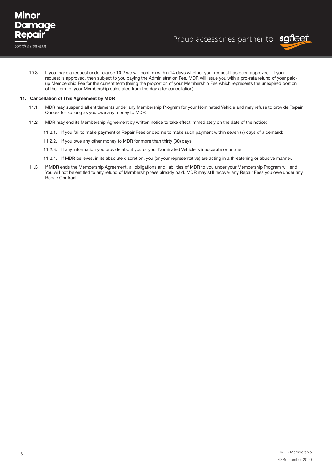



10.3. If you make a request under clause 10.2 we will confirm within 14 days whether your request has been approved. If your request is approved, then subject to you paying the Administration Fee, MDR will issue you with a pro-rata refund of your paidup Membership Fee for the current term (being the proportion of your Membership Fee which represents the unexpired portion of the Term of your Membership calculated from the day after cancellation).

#### **11. Cancellation of This Agreement by MDR**

- 11.1. MDR may suspend all entitlements under any Membership Program for your Nominated Vehicle and may refuse to provide Repair Quotes for so long as you owe any money to MDR.
- 11.2. MDR may end its Membership Agreement by written notice to take effect immediately on the date of the notice:
	- 11.2.1. If you fail to make payment of Repair Fees or decline to make such payment within seven (7) days of a demand;
	- 11.2.2. If you owe any other money to MDR for more than thirty (30) days;
	- 11.2.3. If any information you provide about you or your Nominated Vehicle is inaccurate or untrue;
	- 11.2.4. If MDR believes, in its absolute discretion, you (or your representative) are acting in a threatening or abusive manner.
- 11.3. If MDR ends the Membership Agreement, all obligations and liabilities of MDR to you under your Membership Program will end. You will not be entitled to any refund of Membership fees already paid. MDR may still recover any Repair Fees you owe under any Repair Contract.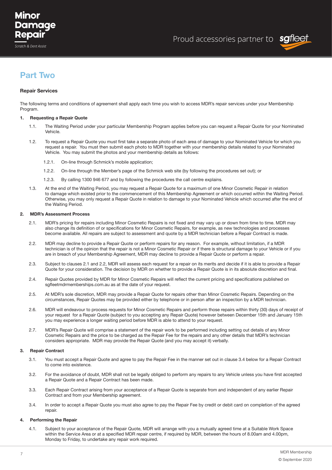## Minor Damaae Repair



### **Part Two**

#### **Repair Services**

The following terms and conditions of agreement shall apply each time you wish to access MDR's repair services under your Membership Program

#### **1. Requesting a Repair Quote**

- 1.1. The Waiting Period under your particular Membership Program applies before you can request a Repair Quote for your Nominated Vehicle.
- 1.2. To request a Repair Quote you must first take a separate photo of each area of damage to your Nominated Vehicle for which you request a repair. You must then submit each photo to MDR together with your membership details related to your Nominated Vehicle. You may submit the photos and your membership details as follows:
	- 1.2.1. On-line through Schmick's mobile application;
	- 1.2.2. On-line through the Member's page of the Schmick web site (by following the procedures set out); or
	- 1.2.3. By calling 1300 946 677 and by following the procedures the call centre explains.
- 1.3. At the end of the Waiting Period, you may request a Repair Quote for a maximum of one Minor Cosmetic Repair in relation to damage which existed prior to the commencement of this Membership Agreement or which occurred within the Waiting Period. Otherwise, you may only request a Repair Quote in relation to damage to your Nominated Vehicle which occurred after the end of the Waiting Period.

#### **2. MDR's Assessment Process**

- 2.1. MDR's pricing for repairs including Minor Cosmetic Repairs is not fixed and may vary up or down from time to time. MDR may also change its definition of or specifications for Minor Cosmetic Repairs, for example, as new technologies and processes become available. All repairs are subject to assessment and quote by a MDR technician before a Repair Contract is made.
- 2.2. MDR may decline to provide a Repair Quote or perform repairs for any reason. For example, without limitation, if a MDR technician is of the opinion that the repair is not a Minor Cosmetic Repair or if there is structural damage to your Vehicle or if you are in breach of your Membership Agreement, MDR may decline to provide a Repair Quote or perform a repair.
- 2.3. Subject to clauses 2.1 and 2.2, MDR will assess each request for a repair on its merits and decide if it is able to provide a Repair Quote for your consideration. The decision by MDR on whether to provide a Repair Quote is in its absolute discretion and final.
- 2.4. Repair Quotes provided by MDR for Minor Cosmetic Repairs will reflect the current pricing and specifications published on sgfleetmdrmemberships.com.au as at the date of your request.
- 2.5. At MDR's sole discretion, MDR may provide a Repair Quote for repairs other than Minor Cosmetic Repairs. Depending on the circumstances, Repair Quotes may be provided either by telephone or in person after an inspection by a MDR technician.
- 2.6. MDR will endeavour to process requests for Minor Cosmetic Repairs and perform those repairs within thirty (30) days of receipt of your request for a Repair Quote (subject to you accepting any Repair Quote) however between December 15th and January 15th you may experience a longer waiting period before MDR is able to attend to your request.
- 2.7. MDR's Repair Quote will comprise a statement of the repair work to be performed including setting out details of any Minor Cosmetic Repairs and the price to be charged as the Repair Fee for the repairs and any other details that MDR's technician considers appropriate. MDR may provide the Repair Quote (and you may accept it) verbally.

#### **3. Repair Contract**

- 3.1. You must accept a Repair Quote and agree to pay the Repair Fee in the manner set out in clause 3.4 below for a Repair Contract to come into existence.
- 3.2. For the avoidance of doubt, MDR shall not be legally obliged to perform any repairs to any Vehicle unless you have first accepted a Repair Quote and a Repair Contract has been made.
- 3.3. Each Repair Contract arising from your acceptance of a Repair Quote is separate from and independent of any earlier Repair Contract and from your Membership agreement.
- 3.4. In order to accept a Repair Quote you must also agree to pay the Repair Fee by credit or debit card on completion of the agreed repair.

#### **4. Performing the Repair**

4.1. Subject to your acceptance of the Repair Quote, MDR will arrange with you a mutually agreed time at a Suitable Work Space within the Service Area or at a specified MDR repair centre, if required by MDR, between the hours of 8.00am and 4.00pm, Monday to Friday, to undertake any repair work required.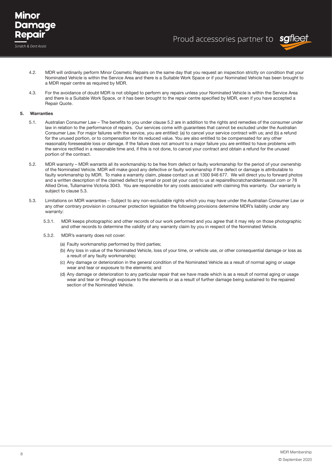



- 4.2. MDR will ordinarily perform Minor Cosmetic Repairs on the same day that you request an inspection strictly on condition that your Nominated Vehicle is within the Service Area and there is a Suitable Work Space or if your Nominated Vehicle has been brought to a MDR repair centre as required by MDR.
- 4.3. For the avoidance of doubt MDR is not obliged to perform any repairs unless your Nominated Vehicle is within the Service Area and there is a Suitable Work Space, or it has been brought to the repair centre specified by MDR, even if you have accepted a Repair Quote.

#### **5. Warranties**

- 5.1. Australian Consumer Law The benefits to you under clause 5.2 are in addition to the rights and remedies of the consumer under law in relation to the performance of repairs. Our services come with guarantees that cannot be excluded under the Australian Consumer Law. For major failures with the service, you are entitled: (a) to cancel your service contract with us; and (b) a refund for the unused portion, or to compensation for its reduced value. You are also entitled to be compensated for any other reasonably foreseeable loss or damage. If the failure does not amount to a major failure you are entitled to have problems with the service rectified in a reasonable time and, if this is not done, to cancel your contract and obtain a refund for the unused portion of the contract.
- 5.2. MDR warranty MDR warrants all its workmanship to be free from defect or faulty workmanship for the period of your ownership of the Nominated Vehicle. MDR will make good any defective or faulty workmanship if the defect or damage is attributable to faulty workmanship by MDR. To make a warranty claim, please contact us at 1300 946 677. We will direct you to forward photos and a written description of the claimed defect by email or post (at your cost) to us at repairs@scratchanddentassist.com or 78 Allied Drive, Tullamarine Victoria 3043. You are responsible for any costs associated with claiming this warranty. Our warranty is subject to clause 5.3.
- 5.3. Limitations on MDR warranties Subject to any non-excludable rights which you may have under the Australian Consumer Law or any other contrary provision in consumer protection legislation the following provisions determine MDR's liability under any warranty:
	- 5.3.1. MDR keeps photographic and other records of our work performed and you agree that it may rely on those photographic and other records to determine the validity of any warranty claim by you in respect of the Nominated Vehicle.
	- 5.3.2. MDR's warranty does not cover:
		- (a) Faulty workmanship performed by third parties;
		- (b) Any loss in value of the Nominated Vehicle, loss of your time, or vehicle use, or other consequential damage or loss as a result of any faulty workmanship;
		- (c) Any damage or deterioration in the general condition of the Nominated Vehicle as a result of normal aging or usage wear and tear or exposure to the elements; and
		- (d) Any damage or deterioration to any particular repair that we have made which is as a result of normal aging or usage wear and tear or through exposure to the elements or as a result of further damage being sustained to the repaired section of the Nominated Vehicle.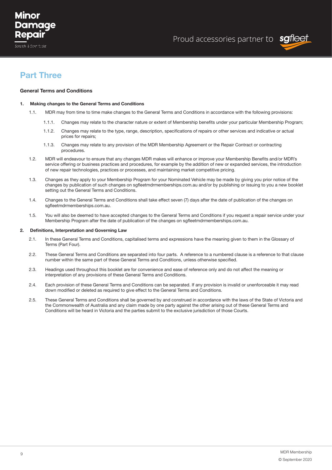## Minor Damaae Repair

Scratch & Dent Assist



## **Part Three**

#### **General Terms and Conditions**

#### **1. Making changes to the General Terms and Conditions**

- 1.1. MDR may from time to time make changes to the General Terms and Conditions in accordance with the following provisions:
	- 1.1.1. Changes may relate to the character nature or extent of Membership benefits under your particular Membership Program;
	- 1.1.2. Changes may relate to the type, range, description, specifications of repairs or other services and indicative or actual prices for repairs;
	- 1.1.3. Changes may relate to any provision of the MDR Membership Agreement or the Repair Contract or contracting procedures.
- 1.2. MDR will endeavour to ensure that any changes MDR makes will enhance or improve your Membership Benefits and/or MDR's service offering or business practices and procedures, for example by the addition of new or expanded services, the introduction of new repair technologies, practices or processes, and maintaining market competitive pricing.
- 1.3. Changes as they apply to your Membership Program for your Nominated Vehicle may be made by giving you prior notice of the changes by publication of such changes on sgfleetmdrmemberships.com.au and/or by publishing or issuing to you a new booklet setting out the General Terms and Conditions.
- 1.4. Changes to the General Terms and Conditions shall take effect seven (7) days after the date of publication of the changes on sgfleetmdrmemberships.com.au.
- 1.5. You will also be deemed to have accepted changes to the General Terms and Conditions if you request a repair service under your Membership Program after the date of publication of the changes on sgfleetmdrmemberships.com.au.

#### **2. Definitions, Interpretation and Governing Law**

- 2.1. In these General Terms and Conditions, capitalised terms and expressions have the meaning given to them in the Glossary of Terms (Part Four).
- 2.2. These General Terms and Conditions are separated into four parts. A reference to a numbered clause is a reference to that clause number within the same part of these General Terms and Conditions, unless otherwise specified.
- 2.3. Headings used throughout this booklet are for convenience and ease of reference only and do not affect the meaning or interpretation of any provisions of these General Terms and Conditions.
- 2.4. Each provision of these General Terms and Conditions can be separated. If any provision is invalid or unenforceable it may read down modified or deleted as required to give effect to the General Terms and Conditions.
- 2.5. These General Terms and Conditions shall be governed by and construed in accordance with the laws of the State of Victoria and the Commonwealth of Australia and any claim made by one party against the other arising out of these General Terms and Conditions will be heard in Victoria and the parties submit to the exclusive jurisdiction of those Courts.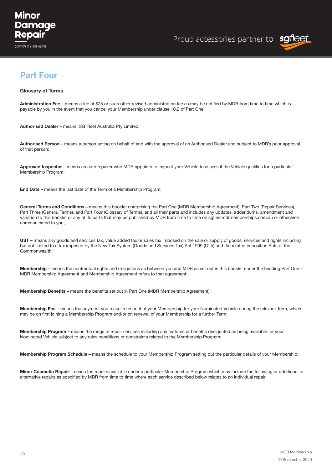



## **Part Four**

#### **Glossary of Terms**

**Administration Fee –** means a fee of \$25 or such other revised administration fee as may be notified by MDR from time to time which is payable by you in the event that you cancel your Membership under clause 10.2 of Part One;

**Authorised Dealer** – means SG Fleet Australia Pty Limited;

**Authorised Person** – means a person acting on behalf of and with the approval of an Authorised Dealer and subject to MDR's prior approval of that person;

**Approved Inspector –** means an auto repairer who MDR appoints to inspect your Vehicle to assess if the Vehicle qualifies for a particular Membership Program;

**End Date –** means the last date of the Term of a Membership Program;

General Terms and Conditions – means this booklet comprising the Part One (MDR Membership Agreement), Part Two (Repair Services), Part Three (General Terms), and Part Four (Glossary of Terms), and all their parts and includes any updates, addendums, amendment and variation to this booklet or any of its parts that may be published by MDR from time to time on sgfleetmdrmemberships.com.au or otherwise communicated to you;

GST – means any goods and services tax, value added tax or sales tax imposed on the sale or supply of goods, services and rights including but not limited to a tax imposed by the New Tax System (Goods and Services Tax) Act 1999 (C'th) and the related imposition Acts of the Commonwealth;

**Membership –** means the contractual rights and obligations as between you and MDR as set out in this booklet under the heading Part One – MDR Membership Agreement and Membership Agreement refers to that agreement;

**Membership Benefits –** means the benefits set out in Part One (MDR Membership Agreement);

**Membership Fee –** means the payment you make in respect of your Membership for your Nominated Vehicle during the relevant Term, which may be on first joining a Membership Program and/or on renewal of your Membership for a further Term;

**Membership Program –** means the range of repair services including any features or benefits designated as being available for your Nominated Vehicle subject to any rules conditions or constraints related to the Membership Program;

**Membership Program Schedule –** means the schedule to your Membership Program setting out the particular details of your Membership;

**Minor Cosmetic Repair–** means the repairs available under a particular Membership Program which may include the following or additional or alternative repairs as specified by MDR from time to time where each service described below relates to an individual repair: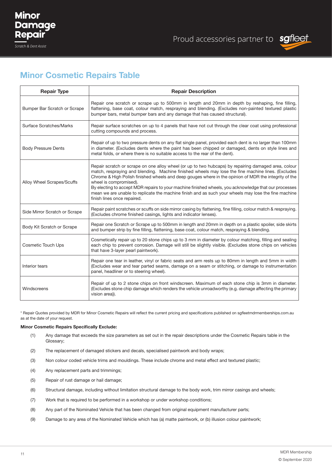

## **Minor Cosmetic Repairs Table**

| <b>Repair Type</b>            | <b>Repair Description</b>                                                                                                                                                                                                                                                                                                                                                                                                                                                                                                                                                                     |
|-------------------------------|-----------------------------------------------------------------------------------------------------------------------------------------------------------------------------------------------------------------------------------------------------------------------------------------------------------------------------------------------------------------------------------------------------------------------------------------------------------------------------------------------------------------------------------------------------------------------------------------------|
| Bumper Bar Scratch or Scrape  | Repair one scratch or scrape up to 500mm in length and 20mm in depth by reshaping, fine filling,<br>flattening, base coat, colour match, respraying and blending. (Excludes non-painted textured plastic<br>bumper bars, metal bumper bars and any damage that has caused structural).                                                                                                                                                                                                                                                                                                        |
| Surface Scratches/Marks       | Repair surface scratches on up to 4 panels that have not cut through the clear coat using professional<br>cutting compounds and process.                                                                                                                                                                                                                                                                                                                                                                                                                                                      |
| <b>Body Pressure Dents</b>    | Repair of up to two pressure dents on any flat single panel, provided each dent is no larger than 100mm<br>in diameter. (Excludes dents where the paint has been chipped or damaged, dents on style lines and<br>metal folds, or where there is no suitable access to the rear of the dent).                                                                                                                                                                                                                                                                                                  |
| Alloy Wheel Scrapes/Scuffs    | Repair scratch or scrape on one alloy wheel (or up to two hubcaps) by repairing damaged area, colour<br>match, respraying and blending. Machine finished wheels may lose the fine machine lines. (Excludes<br>Chrome & High Polish finished wheels and deep gouges where in the opinion of MDR the integrity of the<br>wheel is compromised).<br>By electing to accept MDR repairs to your machine finished wheels, you acknowledge that our processes<br>mean we are unable to replicate the machine finish and as such your wheels may lose the fine machine<br>finish lines once repaired. |
| Side Mirror Scratch or Scrape | Repair paint scratches or scuffs on side mirror casing by flattening, fine filling, colour match & respraying.<br>(Excludes chrome finished casings, lights and indicator lenses).                                                                                                                                                                                                                                                                                                                                                                                                            |
| Body Kit Scratch or Scrape    | Repair one Scratch or Scrape up to 500mm in length and 20mm in depth on a plastic spoiler, side skirts<br>and bumper strip by fine filling, flattening, base coat, colour match, respraying & blending.                                                                                                                                                                                                                                                                                                                                                                                       |
| <b>Cosmetic Touch Ups</b>     | Cosmetically repair up to 20 stone chips up to 3 mm in diameter by colour matching, filling and sealing<br>each chip to prevent corrosion. Damage will still be slightly visible. (Excludes stone chips on vehicles<br>that have 3-layer pearl paintwork).                                                                                                                                                                                                                                                                                                                                    |
| Interior tears                | Repair one tear in leather, vinyl or fabric seats and arm rests up to 80mm in length and 5mm in width<br>(Excludes wear and tear parted seams, damage on a seam or stitching, or damage to instrumentation<br>panel, headliner or to steering wheel).                                                                                                                                                                                                                                                                                                                                         |
| Windscreens                   | Repair of up to 2 stone chips on front windscreen. Maximum of each stone chip is 3mm in diameter.<br>(Excludes stone chip damage which renders the vehicle unroadworthy (e.g. damage affecting the primary<br>vision area)).                                                                                                                                                                                                                                                                                                                                                                  |

\* Repair Quotes provided by MDR for Minor Cosmetic Repairs will reflect the current pricing and specifications published on sgfleetmdrmemberships.com.au as at the date of your request.

#### **Minor Cosmetic Repairs Specifically Exclude:**

- (1) Any damage that exceeds the size parameters as set out in the repair descriptions under the Cosmetic Repairs table in the Glossary;
- (2) The replacement of damaged stickers and decals, specialised paintwork and body wraps;
- (3) Non colour coded vehicle trims and mouldings. These include chrome and metal effect and textured plastic;
- (4) Any replacement parts and trimmings;
- (5) Repair of rust damage or hail damage;
- (6) Structural damage, including without limitation structural damage to the body work, trim mirror casings and wheels;
- (7) Work that is required to be performed in a workshop or under workshop conditions;
- (8) Any part of the Nominated Vehicle that has been changed from original equipment manufacturer parts;
- (9) Damage to any area of the Nominated Vehicle which has (a) matte paintwork, or (b) illusion colour paintwork;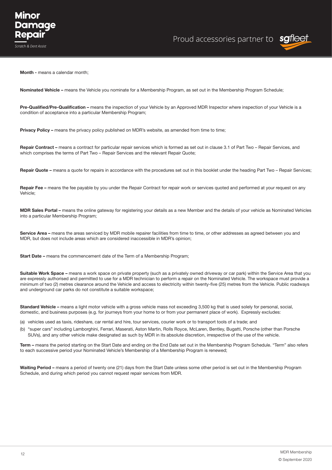Proud accessories partner to sgfleet

**Month - means a calendar month:** 

**Nominated Vehicle –** means the Vehicle you nominate for a Membership Program, as set out in the Membership Program Schedule;

**Pre-Qualified/Pre-Qualification –** means the inspection of your Vehicle by an Approved MDR Inspector where inspection of your Vehicle is a condition of acceptance into a particular Membership Program;

**Privacy Policy –** means the privacy policy published on MDR's website, as amended from time to time;

**Repair Contract –** means a contract for particular repair services which is formed as set out in clause 3.1 of Part Two – Repair Services, and which comprises the terms of Part Two – Repair Services and the relevant Repair Quote;

**Repair Quote –** means a quote for repairs in accordance with the procedures set out in this booklet under the heading Part Two – Repair Services;

**Repair Fee –** means the fee payable by you under the Repair Contract for repair work or services quoted and performed at your request on any Vehicle;

**MDR Sales Portal –** means the online gateway for registering your details as a new Member and the details of your vehicle as Nominated Vehicles into a particular Membership Program;

Service Area – means the areas serviced by MDR mobile repairer facilities from time to time, or other addresses as agreed between you and MDR, but does not include areas which are considered inaccessible in MDR's opinion;

**Start Date –** means the commencement date of the Term of a Membership Program;

**Suitable Work Space –** means a work space on private property (such as a privately owned driveway or car park) within the Service Area that you are expressly authorised and permitted to use for a MDR technician to perform a repair on the Nominated Vehicle. The workspace must provide a minimum of two (2) metres clearance around the Vehicle and access to electricity within twenty-five (25) metres from the Vehicle. Public roadways and underground car parks do not constitute a suitable workspace;

**Standard Vehicle –** means a light motor vehicle with a gross vehicle mass not exceeding 3,500 kg that is used solely for personal, social, domestic, and business purposes (e.g. for journeys from your home to or from your permanent place of work). Expressly excludes:

(a) vehicles used as taxis, rideshare, car rental and hire, tour services, courier work or to transport tools of a trade; and

(b) "super cars" including Lamborghini, Ferrari, Maserati, Aston Martin, Rolls Royce, McLaren, Bentley, Bugatti, Porsche (other than Porsche SUVs), and any other vehicle make designated as such by MDR in its absolute discretion, irrespective of the use of the vehicle.

**Term –** means the period starting on the Start Date and ending on the End Date set out in the Membership Program Schedule. "Term" also refers to each successive period your Nominated Vehicle's Membership of a Membership Program is renewed;

**Waiting Period –** means a period of twenty one (21) days from the Start Date unless some other period is set out in the Membership Program Schedule, and during which period you cannot request repair services from MDR.